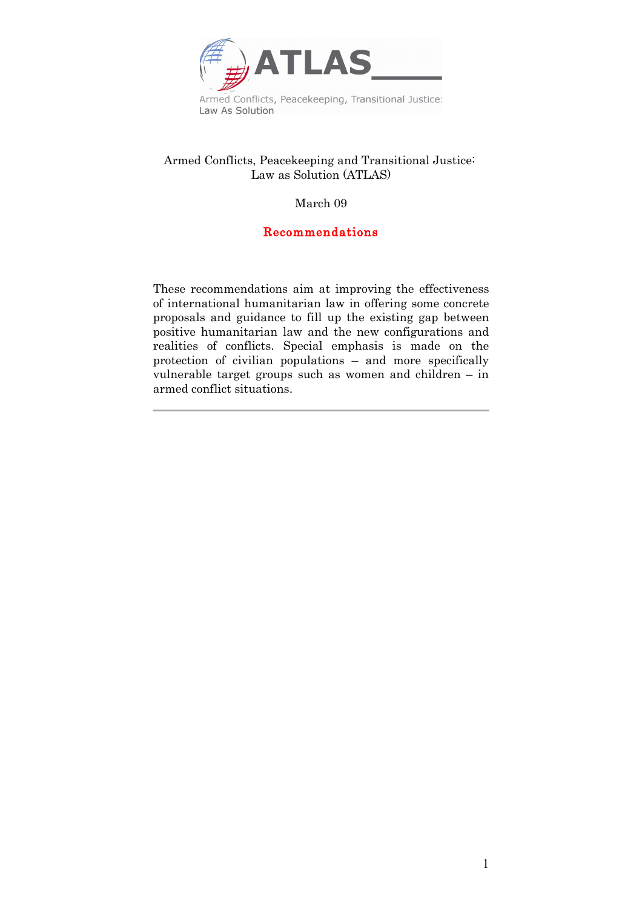

## Armed Conflicts, Peacekeeping and Transitional Justice: Law as Solution (ATLAS)

March 09

# Recommendations

These recommendations aim at improving the effectiveness of international humanitarian law in offering some concrete proposals and guidance to fill up the existing gap between positive humanitarian law and the new configurations and realities of conflicts. Special emphasis is made on the protection of civilian populations – and more specifically vulnerable target groups such as women and children – in armed conflict situations.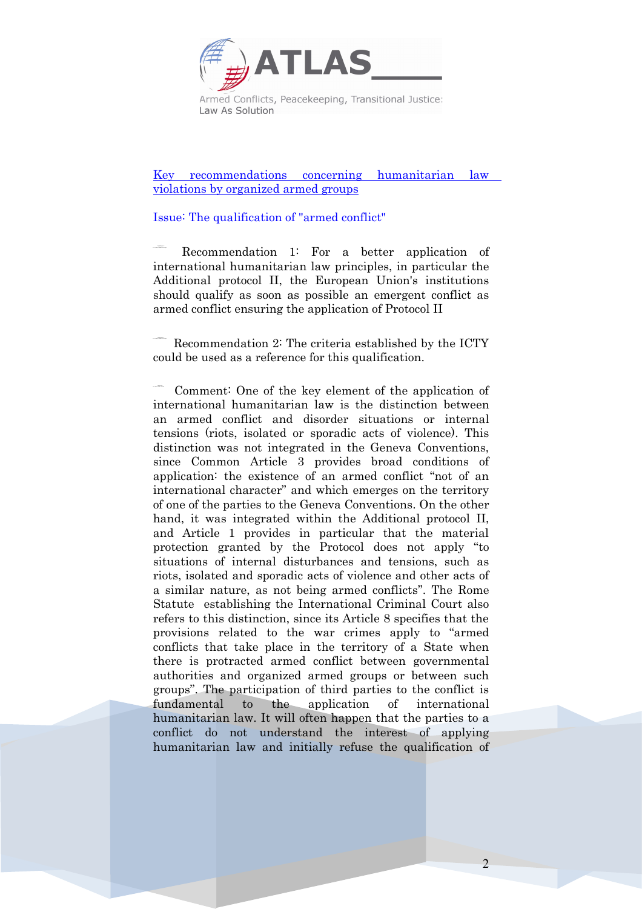

## Key recommendations concerning humanitarian law violations by organized armed groups

### Issue: The qualification of "armed conflict"

Recommendation 1: For a better application of international humanitarian law principles, in particular the Additional protocol II, the European Union's institutions should qualify as soon as possible an emergent conflict as armed conflict ensuring the application of Protocol II

D and a™ en un Recommendation 2: The criteria established by the ICTY could be used as a reference for this qualification.

Comment: One of the key element of the application of international humanitarian law is the distinction between an armed conflict and disorder situations or internal tensions (riots, isolated or sporadic acts of violence). This distinction was not integrated in the Geneva Conventions, since Common Article 3 provides broad conditions of application: the existence of an armed conflict "not of an international character" and which emerges on the territory of one of the parties to the Geneva Conventions. On the other hand, it was integrated within the Additional protocol II, and Article 1 provides in particular that the material protection granted by the Protocol does not apply "to situations of internal disturbances and tensions, such as riots, isolated and sporadic acts of violence and other acts of a similar nature, as not being armed conflicts". The Rome Statute establishing the International Criminal Court also refers to this distinction, since its Article 8 specifies that the provisions related to the war crimes apply to "armed conflicts that take place in the territory of a State when there is protracted armed conflict between governmental authorities and organized armed groups or between such groups". The participation of third parties to the conflict is fundamental to the application of international humanitarian law. It will often happen that the parties to a conflict do not understand the interest of applying humanitarian law and initially refuse the qualification of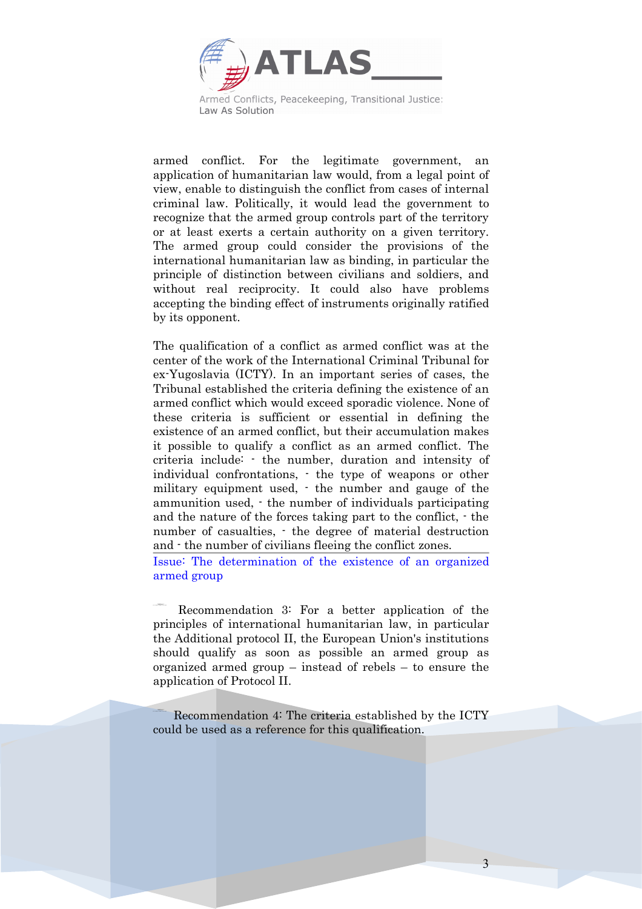

armed conflict. For the legitimate government, an application of humanitarian law would, from a legal point of view, enable to distinguish the conflict from cases of internal criminal law. Politically, it would lead the government to recognize that the armed group controls part of the territory or at least exerts a certain authority on a given territory. The armed group could consider the provisions of the international humanitarian law as binding, in particular the principle of distinction between civilians and soldiers, and without real reciprocity. It could also have problems accepting the binding effect of instruments originally ratified by its opponent.

The qualification of a conflict as armed conflict was at the center of the work of the International Criminal Tribunal for ex-Yugoslavia (ICTY). In an important series of cases, the Tribunal established the criteria defining the existence of an armed conflict which would exceed sporadic violence. None of these criteria is sufficient or essential in defining the existence of an armed conflict, but their accumulation makes it possible to qualify a conflict as an armed conflict. The criteria include: - the number, duration and intensity of individual confrontations, - the type of weapons or other military equipment used, - the number and gauge of the ammunition used, - the number of individuals participating and the nature of the forces taking part to the conflict, - the number of casualties, - the degree of material destruction and - the number of civilians fleeing the conflict zones.

Issue: The determination of the existence of an organized armed group

Recommendation 3: For a better application of the principles of international humanitarian law, in particular the Additional protocol II, the European Union's institutions should qualify as soon as possible an armed group as organized armed group – instead of rebels – to ensure the application of Protocol II.

Recommendation 4: The criteria established by the ICTY could be used as a reference for this qualification.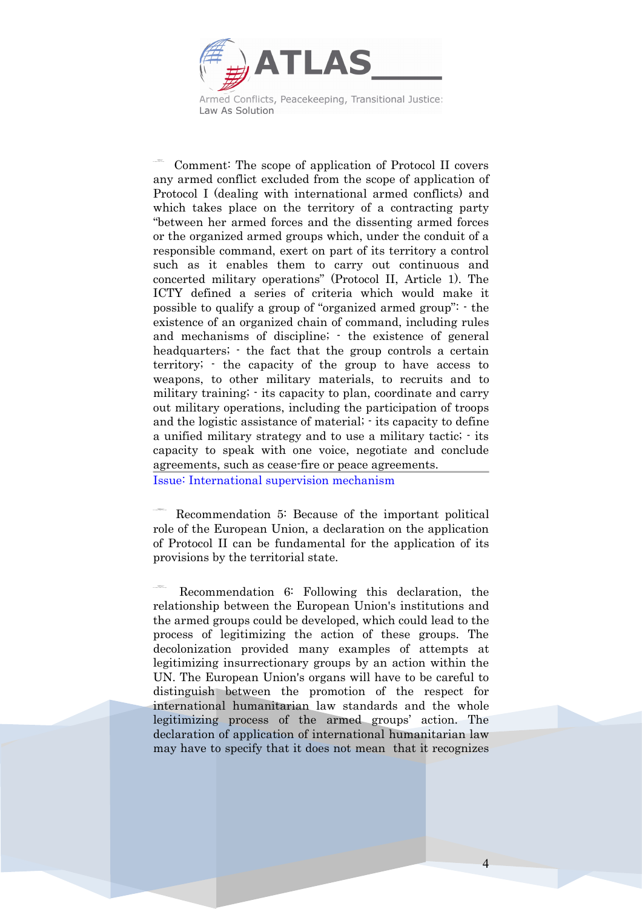

Comment: The scope of application of Protocol II covers any armed conflict excluded from the scope of application of Protocol I (dealing with international armed conflicts) and which takes place on the territory of a contracting party "between her armed forces and the dissenting armed forces or the organized armed groups which, under the conduit of a responsible command, exert on part of its territory a control such as it enables them to carry out continuous and concerted military operations" (Protocol II, Article 1). The ICTY defined a series of criteria which would make it possible to qualify a group of "organized armed group": - the existence of an organized chain of command, including rules and mechanisms of discipline; - the existence of general headquarters;  $\cdot$  the fact that the group controls a certain territory; - the capacity of the group to have access to weapons, to other military materials, to recruits and to military training; - its capacity to plan, coordinate and carry out military operations, including the participation of troops and the logistic assistance of material; - its capacity to define a unified military strategy and to use a military tactic; - its capacity to speak with one voice, negotiate and conclude agreements, such as cease-fire or peace agreements.

Issue: International supervision mechanism

Recommendation 5: Because of the important political role of the European Union, a declaration on the application of Protocol II can be fundamental for the application of its provisions by the territorial state.

D and a™ en un Recommendation 6: Following this declaration, the relationship between the European Union's institutions and the armed groups could be developed, which could lead to the process of legitimizing the action of these groups. The decolonization provided many examples of attempts at legitimizing insurrectionary groups by an action within the UN. The European Union's organs will have to be careful to distinguish between the promotion of the respect for international humanitarian law standards and the whole legitimizing process of the armed groups' action. The declaration of application of international humanitarian law may have to specify that it does not mean that it recognizes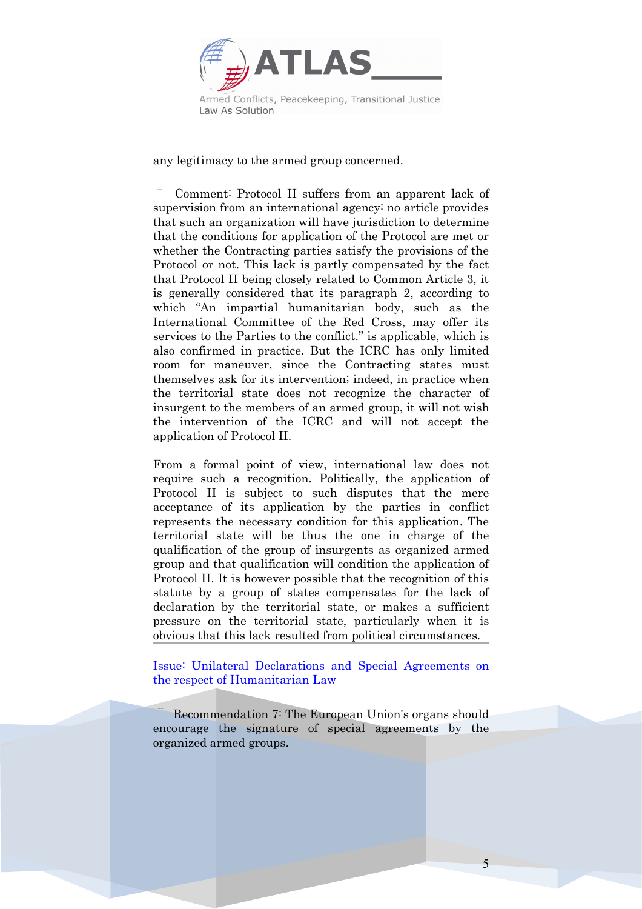

any legitimacy to the armed group concerned.

Comment: Protocol II suffers from an apparent lack of supervision from an international agency: no article provides that such an organization will have jurisdiction to determine that the conditions for application of the Protocol are met or whether the Contracting parties satisfy the provisions of the Protocol or not. This lack is partly compensated by the fact that Protocol II being closely related to Common Article 3, it is generally considered that its paragraph 2, according to which "An impartial humanitarian body, such as the International Committee of the Red Cross, may offer its services to the Parties to the conflict." is applicable, which is also confirmed in practice. But the ICRC has only limited room for maneuver, since the Contracting states must themselves ask for its intervention; indeed, in practice when the territorial state does not recognize the character of insurgent to the members of an armed group, it will not wish the intervention of the ICRC and will not accept the application of Protocol II.

From a formal point of view, international law does not require such a recognition. Politically, the application of Protocol II is subject to such disputes that the mere acceptance of its application by the parties in conflict represents the necessary condition for this application. The territorial state will be thus the one in charge of the qualification of the group of insurgents as organized armed group and that qualification will condition the application of Protocol II. It is however possible that the recognition of this statute by a group of states compensates for the lack of declaration by the territorial state, or makes a sufficient pressure on the territorial state, particularly when it is obvious that this lack resulted from political circumstances.

Issue: Unilateral Declarations and Special Agreements on the respect of Humanitarian Law

Recommendation 7: The European Union's organs should encourage the signature of special agreements by the organized armed groups.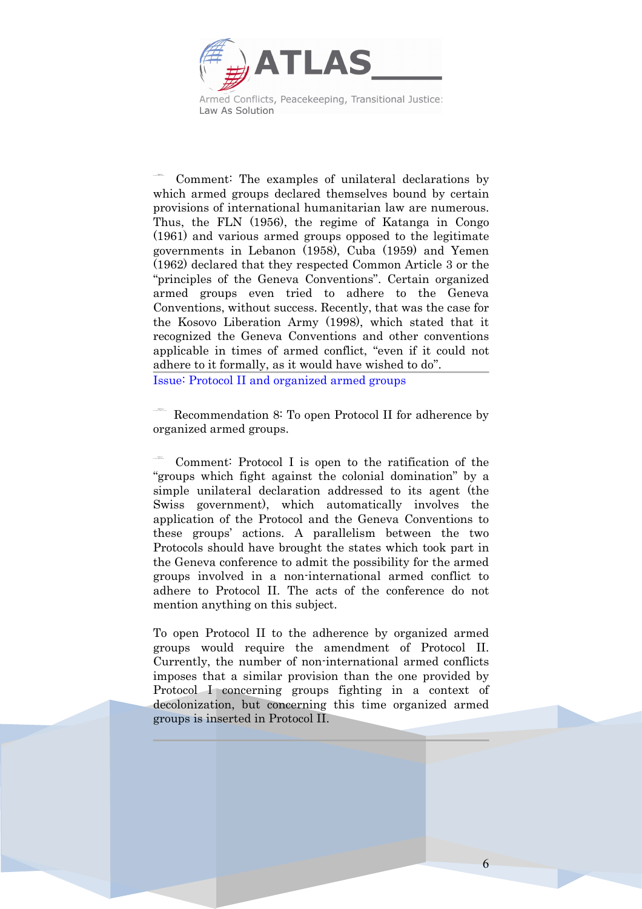

Comment: The examples of unilateral declarations by. which armed groups declared themselves bound by certain provisions of international humanitarian law are numerous. Thus, the FLN (1956), the regime of Katanga in Congo (1961) and various armed groups opposed to the legitimate governments in Lebanon (1958), Cuba (1959) and Yemen (1962) declared that they respected Common Article 3 or the "principles of the Geneva Conventions". Certain organized armed groups even tried to adhere to the Geneva Conventions, without success. Recently, that was the case for the Kosovo Liberation Army (1998), which stated that it recognized the Geneva Conventions and other conventions applicable in times of armed conflict, "even if it could not adhere to it formally, as it would have wished to do".

Issue: Protocol II and organized armed groups

Recommendation 8: To open Protocol II for adherence by. organized armed groups.

Comment: Protocol I is open to the ratification of the "groups which fight against the colonial domination" by a simple unilateral declaration addressed to its agent (the Swiss government), which automatically involves the application of the Protocol and the Geneva Conventions to these groups' actions. A parallelism between the two Protocols should have brought the states which took part in the Geneva conference to admit the possibility for the armed groups involved in a non-international armed conflict to adhere to Protocol II. The acts of the conference do not mention anything on this subject.

To open Protocol II to the adherence by organized armed groups would require the amendment of Protocol II. Currently, the number of non-international armed conflicts imposes that a similar provision than the one provided by Protocol I concerning groups fighting in a context of decolonization, but concerning this time organized armed groups is inserted in Protocol II.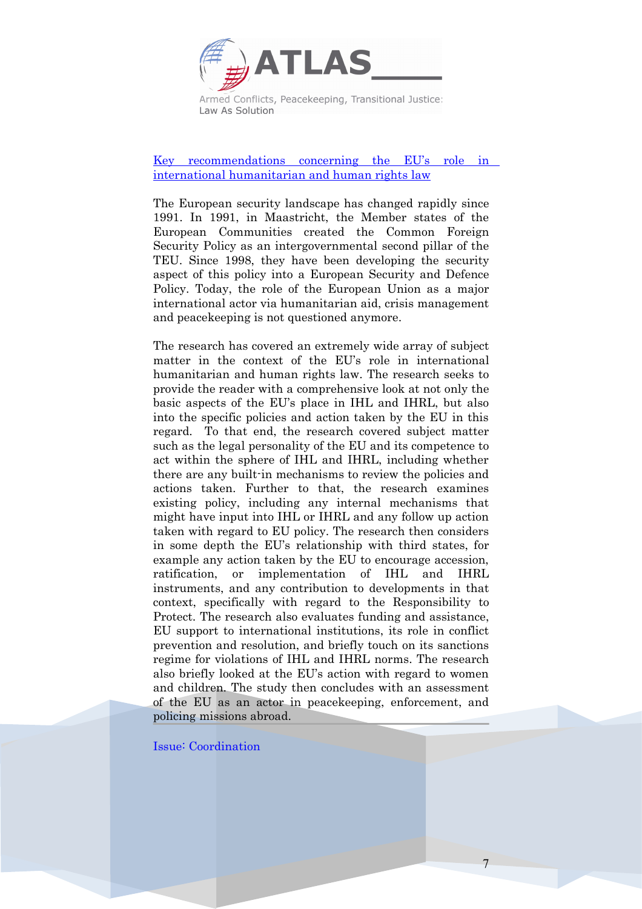

#### Key recommendations concerning the EU's role in international humanitarian and human rights law

The European security landscape has changed rapidly since 1991. In 1991, in Maastricht, the Member states of the European Communities created the Common Foreign Security Policy as an intergovernmental second pillar of the TEU. Since 1998, they have been developing the security aspect of this policy into a European Security and Defence Policy. Today, the role of the European Union as a major international actor via humanitarian aid, crisis management and peacekeeping is not questioned anymore.

The research has covered an extremely wide array of subject matter in the context of the EU's role in international humanitarian and human rights law. The research seeks to provide the reader with a comprehensive look at not only the basic aspects of the EU's place in IHL and IHRL, but also into the specific policies and action taken by the EU in this regard. To that end, the research covered subject matter such as the legal personality of the EU and its competence to act within the sphere of IHL and IHRL, including whether there are any built-in mechanisms to review the policies and actions taken. Further to that, the research examines existing policy, including any internal mechanisms that might have input into IHL or IHRL and any follow up action taken with regard to EU policy. The research then considers in some depth the EU's relationship with third states, for example any action taken by the EU to encourage accession, ratification, or implementation of IHL and IHRL instruments, and any contribution to developments in that context, specifically with regard to the Responsibility to Protect. The research also evaluates funding and assistance, EU support to international institutions, its role in conflict prevention and resolution, and briefly touch on its sanctions regime for violations of IHL and IHRL norms. The research also briefly looked at the EU's action with regard to women and children. The study then concludes with an assessment of the EU as an actor in peacekeeping, enforcement, and policing missions abroad.

7

Issue: Coordination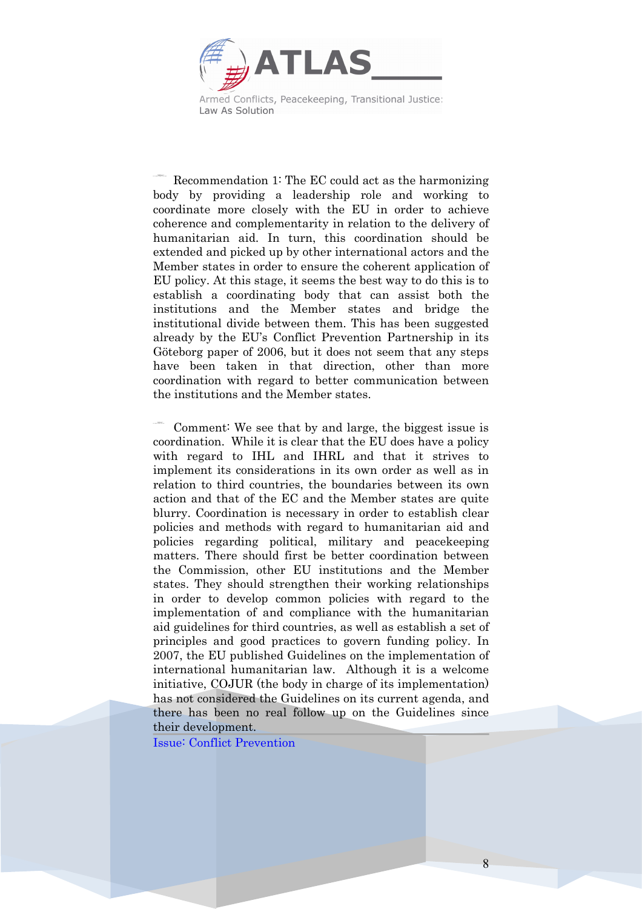

Recommendation 1: The EC could act as the harmonizing. body by providing a leadership role and working to coordinate more closely with the EU in order to achieve coherence and complementarity in relation to the delivery of humanitarian aid. In turn, this coordination should be extended and picked up by other international actors and the Member states in order to ensure the coherent application of EU policy. At this stage, it seems the best way to do this is to establish a coordinating body that can assist both the institutions and the Member states and bridge the institutional divide between them. This has been suggested already by the EU's Conflict Prevention Partnership in its Göteborg paper of 2006, but it does not seem that any steps have been taken in that direction, other than more coordination with regard to better communication between the institutions and the Member states.

Comment: We see that by and large, the biggest issue is coordination. While it is clear that the EU does have a policy with regard to IHL and IHRL and that it strives to implement its considerations in its own order as well as in relation to third countries, the boundaries between its own action and that of the EC and the Member states are quite blurry. Coordination is necessary in order to establish clear policies and methods with regard to humanitarian aid and policies regarding political, military and peacekeeping matters. There should first be better coordination between the Commission, other EU institutions and the Member states. They should strengthen their working relationships in order to develop common policies with regard to the implementation of and compliance with the humanitarian aid guidelines for third countries, as well as establish a set of principles and good practices to govern funding policy. In 2007, the EU published Guidelines on the implementation of international humanitarian law. Although it is a welcome initiative, COJUR (the body in charge of its implementation) has not considered the Guidelines on its current agenda, and there has been no real follow up on the Guidelines since their development.

Issue: Conflict Prevention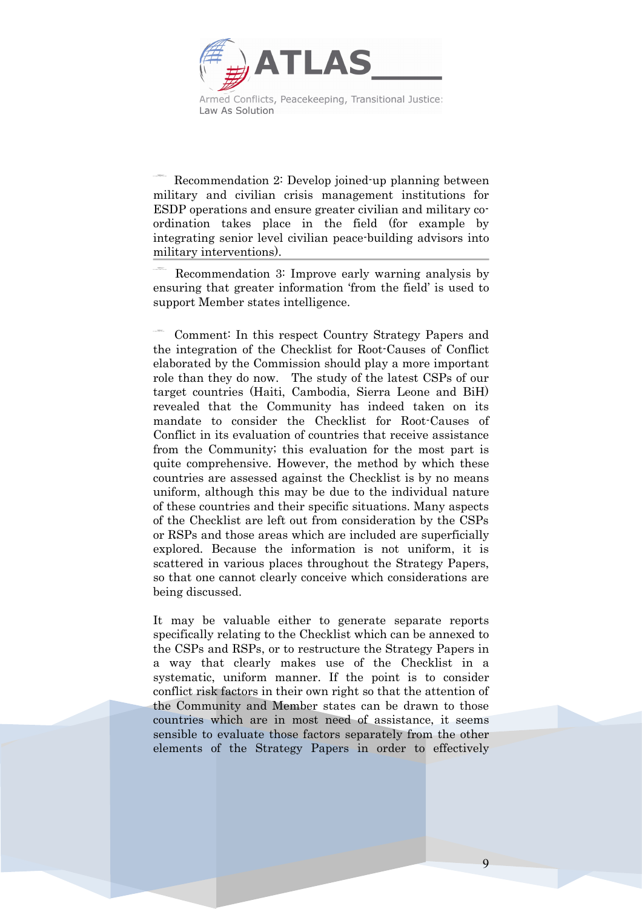

Recommendation 2: Develop joined-up planning between military and civilian crisis management institutions for ESDP operations and ensure greater civilian and military coordination takes place in the field (for example by integrating senior level civilian peace-building advisors into military interventions).

Q uickTim e™ et u n Recommendation 3: Improve early warning analysis by. ensuring that greater information 'from the field' is used to support Member states intelligence.

Comment: In this respect Country Strategy Papers and the integration of the Checklist for Root-Causes of Conflict elaborated by the Commission should play a more important role than they do now. The study of the latest CSPs of our target countries (Haiti, Cambodia, Sierra Leone and BiH) revealed that the Community has indeed taken on its mandate to consider the Checklist for Root-Causes of Conflict in its evaluation of countries that receive assistance from the Community; this evaluation for the most part is quite comprehensive. However, the method by which these countries are assessed against the Checklist is by no means uniform, although this may be due to the individual nature of these countries and their specific situations. Many aspects of the Checklist are left out from consideration by the CSPs or RSPs and those areas which are included are superficially explored. Because the information is not uniform, it is scattered in various places throughout the Strategy Papers, so that one cannot clearly conceive which considerations are being discussed.

It may be valuable either to generate separate reports specifically relating to the Checklist which can be annexed to the CSPs and RSPs, or to restructure the Strategy Papers in a way that clearly makes use of the Checklist in a systematic, uniform manner. If the point is to consider conflict risk factors in their own right so that the attention of the Community and Member states can be drawn to those countries which are in most need of assistance, it seems sensible to evaluate those factors separately from the other elements of the Strategy Papers in order to effectively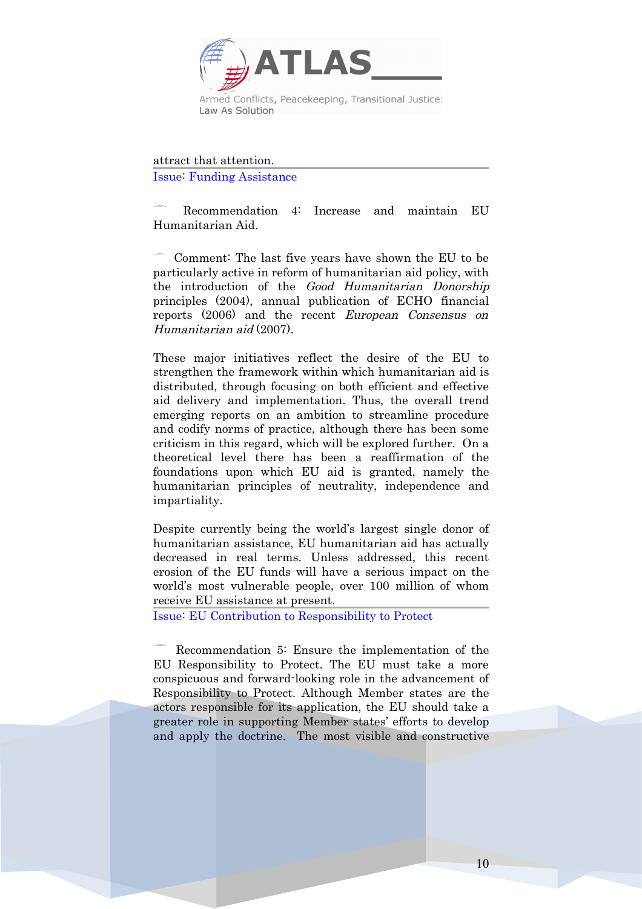

attract that attention. Issue: Funding Assistance

Recommendation 4: Increase and maintain EU Humanitarian Aid.

Comment: The last five years have shown the EU to be particularly active in reform of humanitarian aid policy, with the introduction of the Good Humanitarian Donorship principles (2004), annual publication of ECHO financial reports (2006) and the recent European Consensus on Humanitarian aid (2007).

These major initiatives reflect the desire of the EU to strengthen the framework within which humanitarian aid is distributed, through focusing on both efficient and effective aid delivery and implementation. Thus, the overall trend emerging reports on an ambition to streamline procedure and codify norms of practice, although there has been some criticism in this regard, which will be explored further. On a theoretical level there has been a reaffirmation of the foundations upon which EU aid is granted, namely the humanitarian principles of neutrality, independence and impartiality.

Despite currently being the world's largest single donor of humanitarian assistance, EU humanitarian aid has actually decreased in real terms. Unless addressed, this recent erosion of the EU funds will have a serious impact on the world's most vulnerable people, over 100 million of whom receive EU assistance at present.

Issue: EU Contribution to Responsibility to Protect

Recommendation 5: Ensure the implementation of the EU Responsibility to Protect. The EU must take a more conspicuous and forward-looking role in the advancement of Responsibility to Protect. Although Member states are the actors responsible for its application, the EU should take a greater role in supporting Member states' efforts to develop and apply the doctrine. The most visible and constructive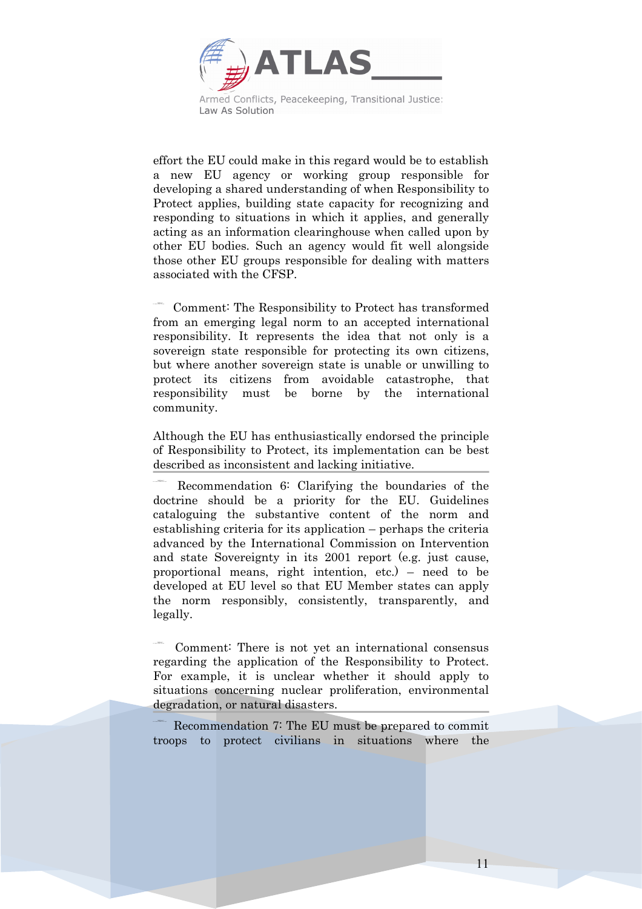

effort the EU could make in this regard would be to establish a new EU agency or working group responsible for developing a shared understanding of when Responsibility to Protect applies, building state capacity for recognizing and responding to situations in which it applies, and generally acting as an information clearinghouse when called upon by other EU bodies. Such an agency would fit well alongside those other EU groups responsible for dealing with matters associated with the CFSP.

Comment: The Responsibility to Protect has transformed. from an emerging legal norm to an accepted international responsibility. It represents the idea that not only is a sovereign state responsible for protecting its own citizens, but where another sovereign state is unable or unwilling to protect its citizens from avoidable catastrophe, that responsibility must be borne by the international community.

Although the EU has enthusiastically endorsed the principle of Responsibility to Protect, its implementation can be best described as inconsistent and lacking initiative.

Recommendation 6: Clarifying the boundaries of the doctrine should be a priority for the EU. Guidelines cataloguing the substantive content of the norm and establishing criteria for its application – perhaps the criteria advanced by the International Commission on Intervention and state Sovereignty in its 2001 report (e.g. just cause, proportional means, right intention, etc.) – need to be developed at EU level so that EU Member states can apply the norm responsibly, consistently, transparently, and legally.

Comment: There is not yet an international consensus regarding the application of the Responsibility to Protect. For example, it is unclear whether it should apply to situations concerning nuclear proliferation, environmental degradation, or natural disasters.

Recommendation 7: The EU must be prepared to commit troops to protect civilians in situations where the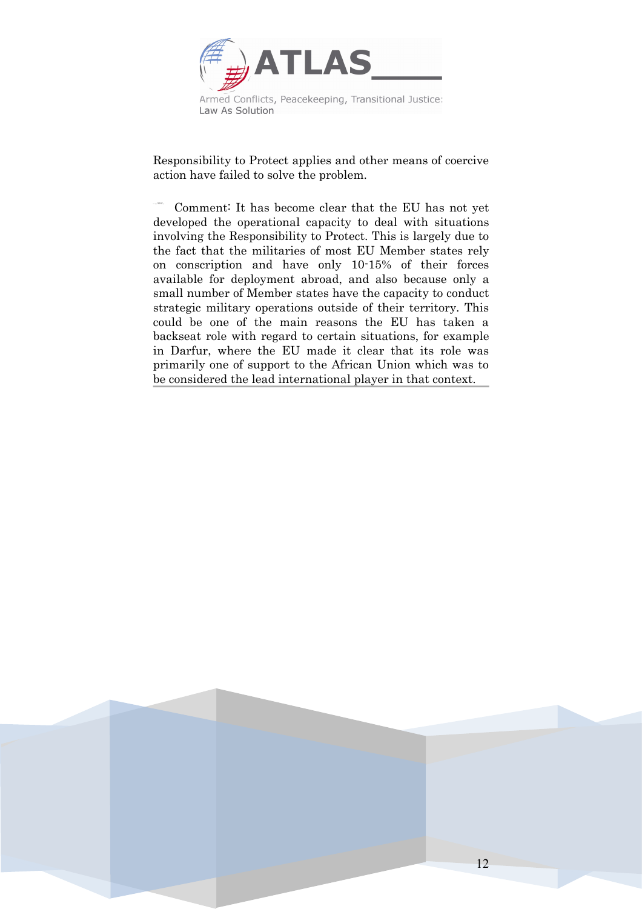

Responsibility to Protect applies and other means of coercive action have failed to solve the problem.

Comment: It has become clear that the EU has not yet developed the operational capacity to deal with situations involving the Responsibility to Protect. This is largely due to the fact that the militaries of most EU Member states rely on conscription and have only 10-15% of their forces available for deployment abroad, and also because only a small number of Member states have the capacity to conduct strategic military operations outside of their territory. This could be one of the main reasons the EU has taken a backseat role with regard to certain situations, for example in Darfur, where the EU made it clear that its role was primarily one of support to the African Union which was to be considered the lead international player in that context.

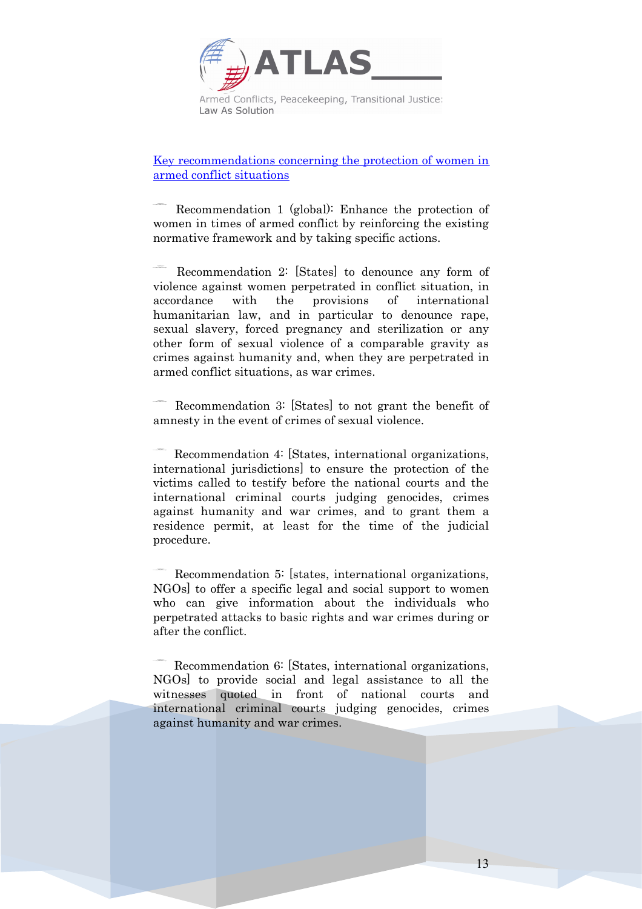

Key recommendations concerning the protection of women in armed conflict situations

Recommendation 1 (global): Enhance the protection of women in times of armed conflict by reinforcing the existing normative framework and by taking specific actions.

D and a™ en un Recommendation 2: [States] to denounce any form of violence against women perpetrated in conflict situation, in accordance with the provisions of international humanitarian law, and in particular to denounce rape, sexual slavery, forced pregnancy and sterilization or any other form of sexual violence of a comparable gravity as crimes against humanity and, when they are perpetrated in armed conflict situations, as war crimes.

Recommendation 3: [States] to not grant the benefit of amnesty in the event of crimes of sexual violence.

Recommendation 4: [States, international organizations, international jurisdictions] to ensure the protection of the victims called to testify before the national courts and the international criminal courts judging genocides, crimes against humanity and war crimes, and to grant them a residence permit, at least for the time of the judicial procedure.

Recommendation 5: [states, international organizations, NGOs] to offer a specific legal and social support to women who can give information about the individuals who perpetrated attacks to basic rights and war crimes during or after the conflict.

Recommendation 6: [States, international organizations, NGOs] to provide social and legal assistance to all the witnesses quoted in front of national courts and international criminal courts judging genocides, crimes against humanity and war crimes.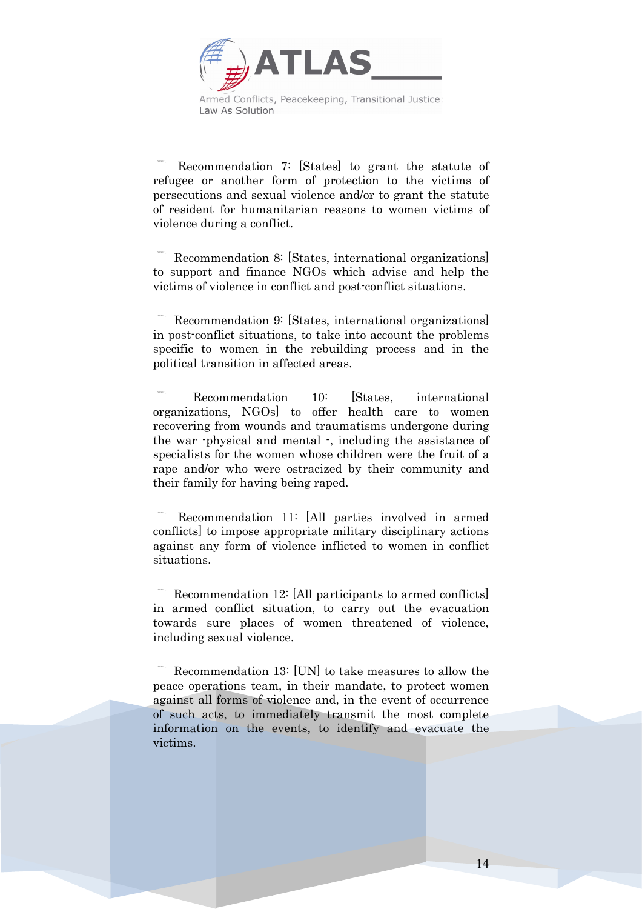

Recommendation 7: [States] to grant the statute of refugee or another form of protection to the victims of persecutions and sexual violence and/or to grant the statute of resident for humanitarian reasons to women victims of violence during a conflict.

Recommendation 8: [States, international organizations] to support and finance NGOs which advise and help the victims of violence in conflict and post-conflict situations.

D and a™ en un Recommendation 9: [States, international organizations] in post-conflict situations, to take into account the problems specific to women in the rebuilding process and in the political transition in affected areas.

D and a™ en un Recommendation 10: [States, international organizations, NGOs] to offer health care to women recovering from wounds and traumatisms undergone during the war -physical and mental -, including the assistance of specialists for the women whose children were the fruit of a rape and/or who were ostracized by their community and their family for having being raped.

Q uickTim e™ et u n Recommendation 11: [All parties involved in armed. conflicts] to impose appropriate military disciplinary actions against any form of violence inflicted to women in conflict situations.

Q uickTim e™ et u n Recommendation 12: [All participants to armed conflicts] in armed conflict situation, to carry out the evacuation towards sure places of women threatened of violence, including sexual violence.

Recommendation 13: [UN] to take measures to allow the peace operations team, in their mandate, to protect women against all forms of violence and, in the event of occurrence of such acts, to immediately transmit the most complete information on the events, to identify and evacuate the victims.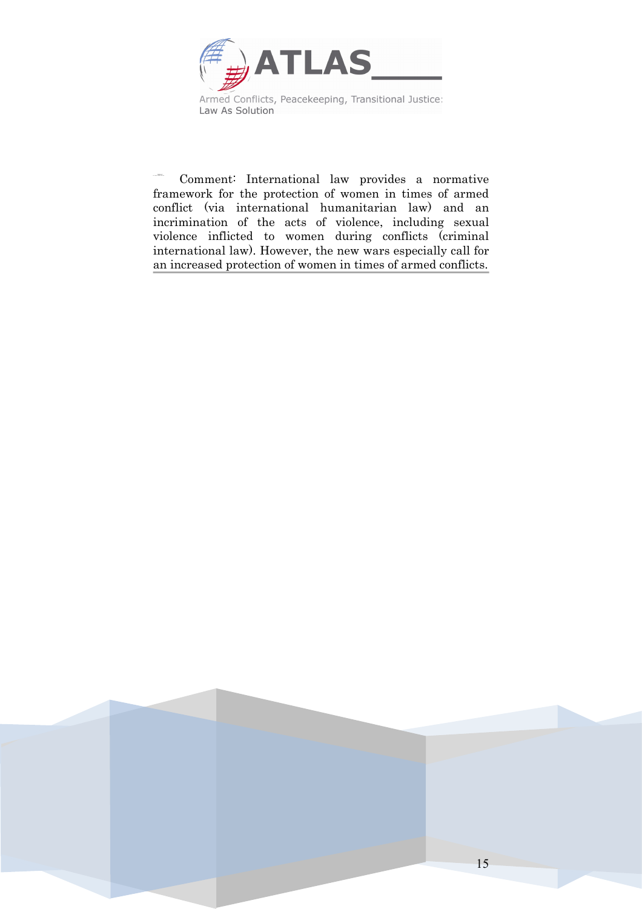

Comment: International law provides a normative framework for the protection of women in times of armed conflict (via international humanitarian law) and an incrimination of the acts of violence, including sexual violence inflicted to women during conflicts (criminal international law). However, the new wars especially call for an increased protection of women in times of armed conflicts.

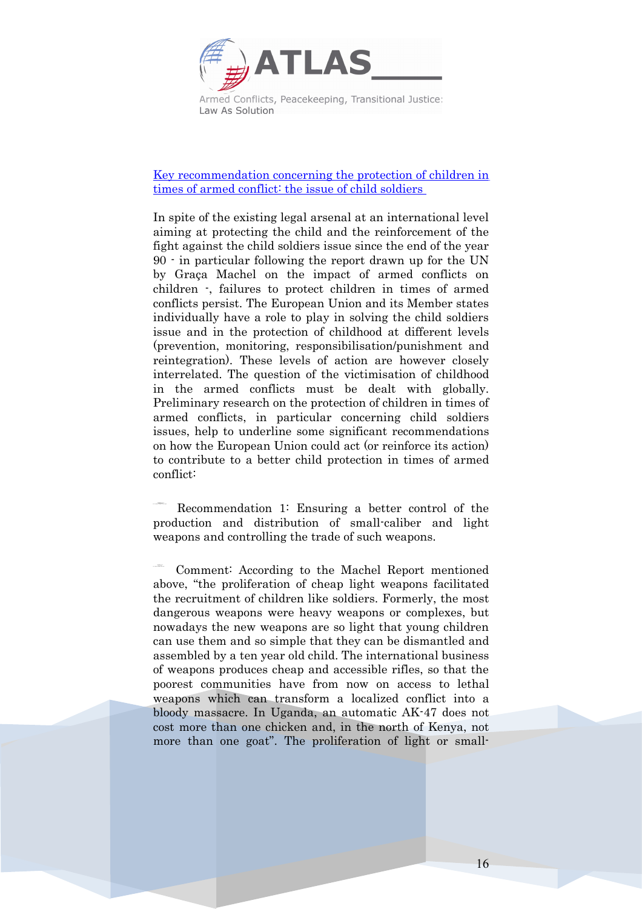

### Key recommendation concerning the protection of children in times of armed conflict: the issue of child soldiers

In spite of the existing legal arsenal at an international level aiming at protecting the child and the reinforcement of the fight against the child soldiers issue since the end of the year 90 - in particular following the report drawn up for the UN by Graça Machel on the impact of armed conflicts on children -, failures to protect children in times of armed conflicts persist. The European Union and its Member states individually have a role to play in solving the child soldiers issue and in the protection of childhood at different levels (prevention, monitoring, responsibilisation/punishment and reintegration). These levels of action are however closely interrelated. The question of the victimisation of childhood in the armed conflicts must be dealt with globally. Preliminary research on the protection of children in times of armed conflicts, in particular concerning child soldiers issues, help to underline some significant recommendations on how the European Union could act (or reinforce its action) to contribute to a better child protection in times of armed conflict:

Q uickTim e™ et u n Recommendation 1: Ensuring a better control of the production and distribution of small-caliber and light weapons and controlling the trade of such weapons.

Comment: According to the Machel Report mentioned. above, "the proliferation of cheap light weapons facilitated the recruitment of children like soldiers. Formerly, the most dangerous weapons were heavy weapons or complexes, but nowadays the new weapons are so light that young children can use them and so simple that they can be dismantled and assembled by a ten year old child. The international business of weapons produces cheap and accessible rifles, so that the poorest communities have from now on access to lethal weapons which can transform a localized conflict into a bloody massacre. In Uganda, an automatic AK-47 does not cost more than one chicken and, in the north of Kenya, not more than one goat". The proliferation of light or small-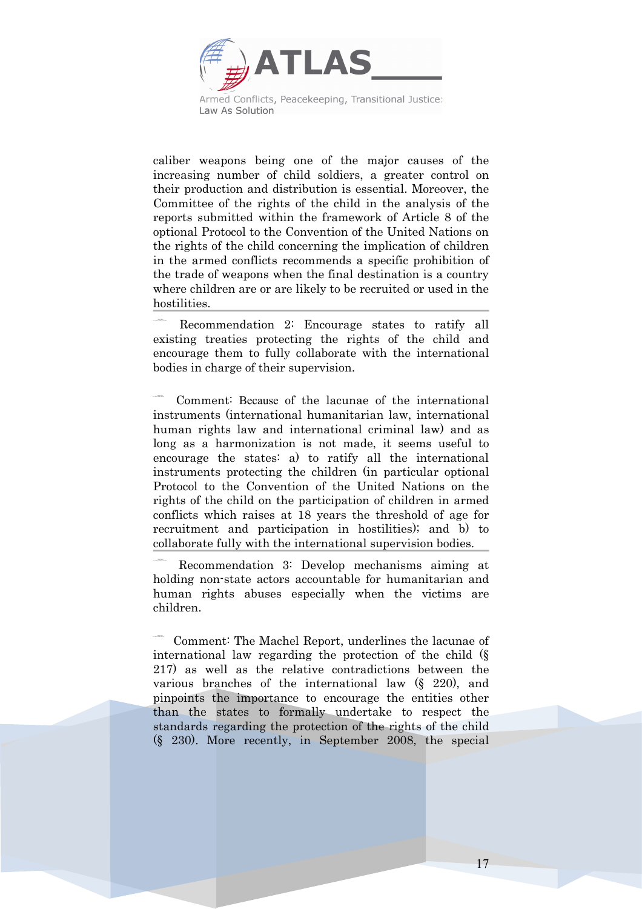

caliber weapons being one of the major causes of the increasing number of child soldiers, a greater control on their production and distribution is essential. Moreover, the Committee of the rights of the child in the analysis of the reports submitted within the framework of Article 8 of the optional Protocol to the Convention of the United Nations on the rights of the child concerning the implication of children in the armed conflicts recommends a specific prohibition of the trade of weapons when the final destination is a country where children are or are likely to be recruited or used in the hostilities.

Recommendation 2: Encourage states to ratify all existing treaties protecting the rights of the child and encourage them to fully collaborate with the international bodies in charge of their supervision.

Comment: Because of the lacunae of the international instruments (international humanitarian law, international human rights law and international criminal law) and as long as a harmonization is not made, it seems useful to encourage the states: a) to ratify all the international instruments protecting the children (in particular optional Protocol to the Convention of the United Nations on the rights of the child on the participation of children in armed conflicts which raises at 18 years the threshold of age for recruitment and participation in hostilities); and b) to collaborate fully with the international supervision bodies.

D and a™ en un Recommendation 3: Develop mechanisms aiming at holding non-state actors accountable for humanitarian and human rights abuses especially when the victims are children.

Comment: The Machel Report, underlines the lacunae of international law regarding the protection of the child (§ 217) as well as the relative contradictions between the various branches of the international law (§ 220), and pinpoints the importance to encourage the entities other than the states to formally undertake to respect the standards regarding the protection of the rights of the child (§ 230). More recently, in September 2008, the special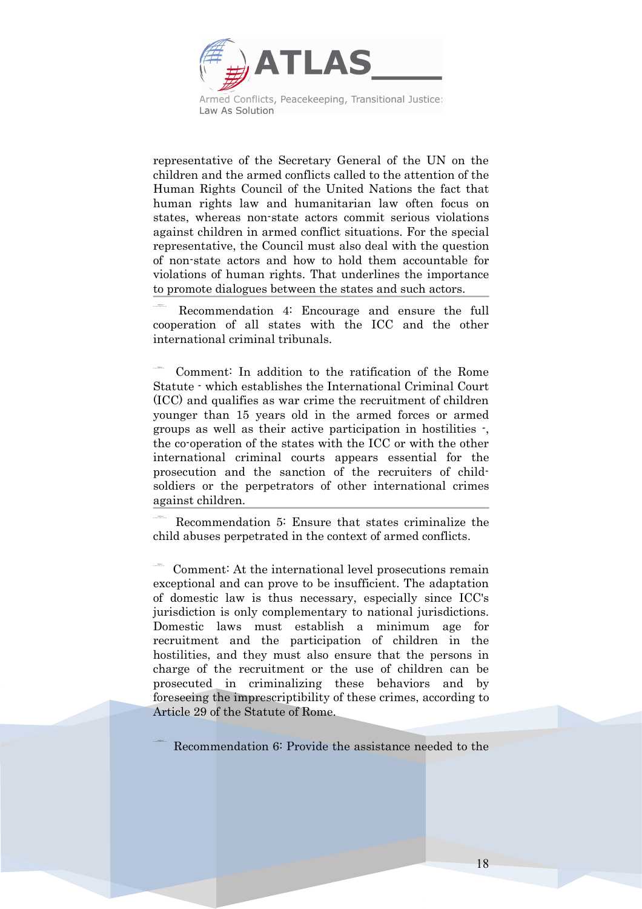

representative of the Secretary General of the UN on the children and the armed conflicts called to the attention of the Human Rights Council of the United Nations the fact that human rights law and humanitarian law often focus on states, whereas non-state actors commit serious violations against children in armed conflict situations. For the special representative, the Council must also deal with the question of non-state actors and how to hold them accountable for violations of human rights. That underlines the importance to promote dialogues between the states and such actors.

Recommendation 4: Encourage and ensure the full cooperation of all states with the ICC and the other international criminal tribunals.

Comment: In addition to the ratification of the Rome Statute - which establishes the International Criminal Court (ICC) and qualifies as war crime the recruitment of children younger than 15 years old in the armed forces or armed groups as well as their active participation in hostilities -, the co-operation of the states with the ICC or with the other international criminal courts appears essential for the prosecution and the sanction of the recruiters of childsoldiers or the perpetrators of other international crimes against children.

D and a™ en un Recommendation 5: Ensure that states criminalize the child abuses perpetrated in the context of armed conflicts.

Comment: At the international level prosecutions remain exceptional and can prove to be insufficient. The adaptation of domestic law is thus necessary, especially since ICC's jurisdiction is only complementary to national jurisdictions. Domestic laws must establish a minimum age for recruitment and the participation of children in the hostilities, and they must also ensure that the persons in charge of the recruitment or the use of children can be prosecuted in criminalizing these behaviors and by foreseeing the imprescriptibility of these crimes, according to Article 29 of the Statute of Rome.

Recommendation 6: Provide the assistance needed to the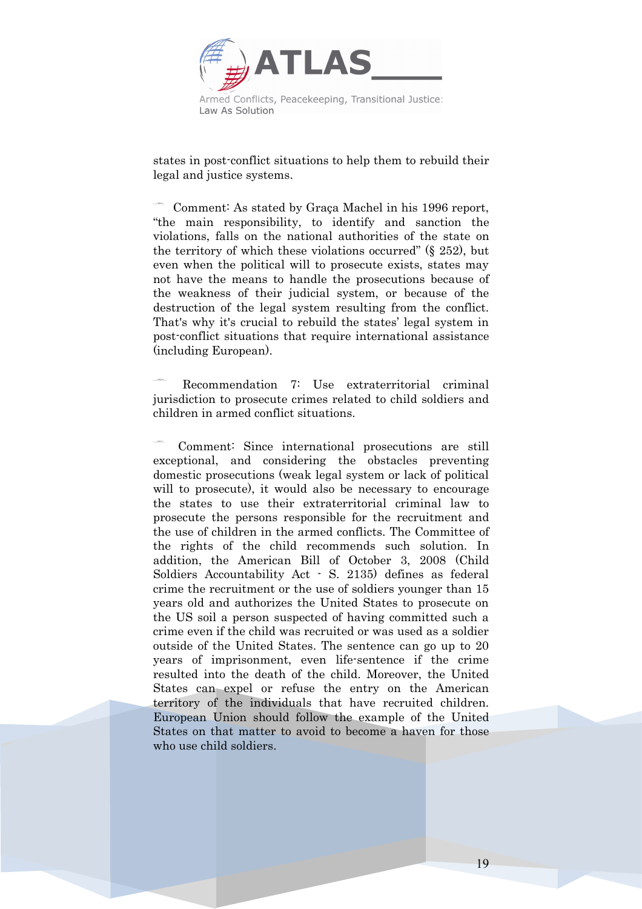

states in post-conflict situations to help them to rebuild their legal and justice systems.

Comment: As stated by Graça Machel in his 1996 report, "the main responsibility, to identify and sanction the violations, falls on the national authorities of the state on the territory of which these violations occurred" ( $\S$  252), but even when the political will to prosecute exists, states may not have the means to handle the prosecutions because of the weakness of their judicial system, or because of the destruction of the legal system resulting from the conflict. That's why it's crucial to rebuild the states' legal system in post-conflict situations that require international assistance (including European).

Recommendation 7: Use extraterritorial criminal jurisdiction to prosecute crimes related to child soldiers and children in armed conflict situations.

Comment: Since international prosecutions are still exceptional, and considering the obstacles preventing domestic prosecutions (weak legal system or lack of political will to prosecute), it would also be necessary to encourage the states to use their extraterritorial criminal law to prosecute the persons responsible for the recruitment and the use of children in the armed conflicts. The Committee of the rights of the child recommends such solution. In addition, the American Bill of October 3, 2008 (Child Soldiers Accountability Act - S. 2135) defines as federal crime the recruitment or the use of soldiers younger than 15 years old and authorizes the United States to prosecute on the US soil a person suspected of having committed such a crime even if the child was recruited or was used as a soldier outside of the United States. The sentence can go up to 20 years of imprisonment, even life-sentence if the crime resulted into the death of the child. Moreover, the United States can expel or refuse the entry on the American territory of the individuals that have recruited children. European Union should follow the example of the United States on that matter to avoid to become a haven for those who use child soldiers.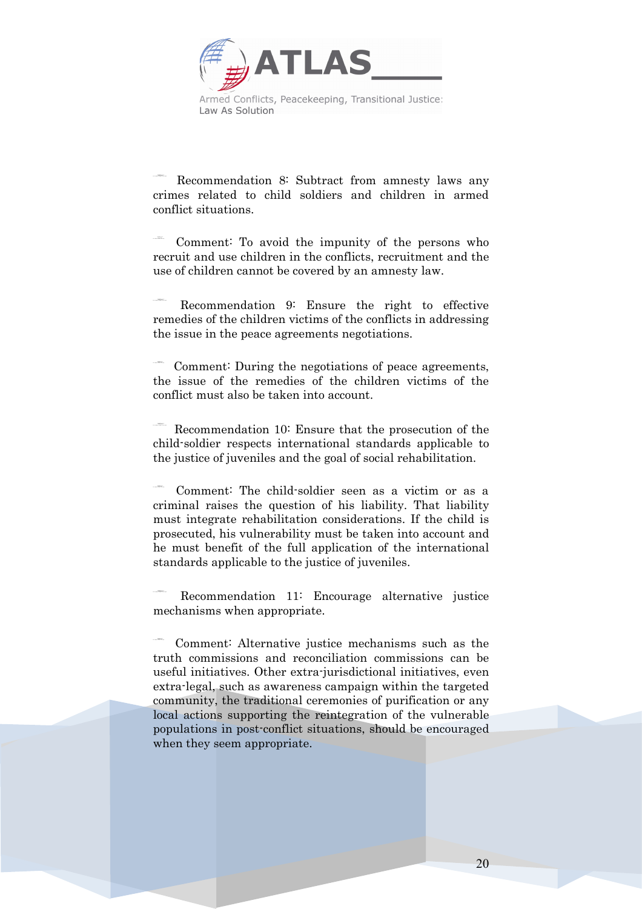

Recommendation 8: Subtract from amnesty laws any crimes related to child soldiers and children in armed conflict situations.

Comment: To avoid the impunity of the persons who recruit and use children in the conflicts, recruitment and the use of children cannot be covered by an amnesty law.

Recommendation 9: Ensure the right to effective remedies of the children victims of the conflicts in addressing the issue in the peace agreements negotiations.

Comment: During the negotiations of peace agreements, the issue of the remedies of the children victims of the conflict must also be taken into account.

Recommendation 10: Ensure that the prosecution of the child-soldier respects international standards applicable to the justice of juveniles and the goal of social rehabilitation.

Comment: The child-soldier seen as a victim or as a criminal raises the question of his liability. That liability must integrate rehabilitation considerations. If the child is prosecuted, his vulnerability must be taken into account and he must benefit of the full application of the international standards applicable to the justice of juveniles.

Recommendation 11: Encourage alternative justice mechanisms when appropriate.

Comment: Alternative justice mechanisms such as the truth commissions and reconciliation commissions can be useful initiatives. Other extra-jurisdictional initiatives, even extra-legal, such as awareness campaign within the targeted community, the traditional ceremonies of purification or any local actions supporting the reintegration of the vulnerable populations in post-conflict situations, should be encouraged when they seem appropriate.